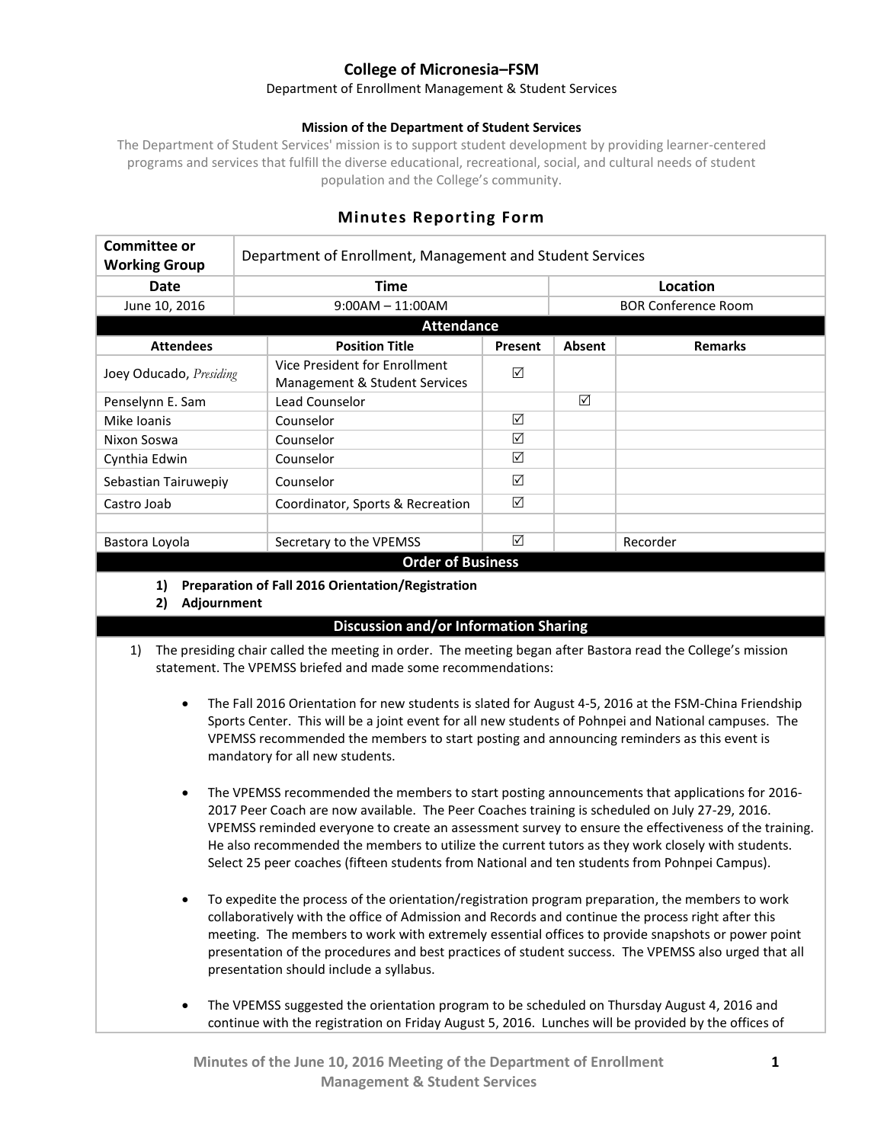# **College of Micronesia–FSM**

#### Department of Enrollment Management & Student Services

### **Mission of the Department of Student Services**

The Department of Student Services' mission is to support student development by providing learner-centered programs and services that fulfill the diverse educational, recreational, social, and cultural needs of student population and the College's community.

| Committee or<br><b>Working Group</b> | Department of Enrollment, Management and Student Services |             |                            |                |
|--------------------------------------|-----------------------------------------------------------|-------------|----------------------------|----------------|
| <b>Date</b>                          | <b>Time</b>                                               |             | Location                   |                |
| June 10, 2016                        | $9:00AM - 11:00AM$                                        |             | <b>BOR Conference Room</b> |                |
| <b>Attendance</b>                    |                                                           |             |                            |                |
| <b>Attendees</b>                     | <b>Position Title</b>                                     | Present     | Absent                     | <b>Remarks</b> |
| Joey Oducado, Presiding              | Vice President for Enrollment                             | ☑           |                            |                |
|                                      | Management & Student Services                             |             |                            |                |
| Penselynn E. Sam                     | Lead Counselor                                            |             | ☑                          |                |
| Mike Ioanis                          | Counselor                                                 | ⊠           |                            |                |
| Nixon Soswa                          | Counselor                                                 | ☑           |                            |                |
| Cynthia Edwin                        | Counselor                                                 | ☑           |                            |                |
| Sebastian Tairuwepiy                 | Counselor                                                 | ⊠           |                            |                |
| Castro Joab                          | Coordinator, Sports & Recreation                          | ☑           |                            |                |
|                                      |                                                           |             |                            |                |
| Bastora Loyola                       | Secretary to the VPEMSS<br>. .<br>$\sim$ $-$              | ☑<br>$\sim$ |                            | Recorder       |

## **Minutes Reporting Form**

#### **Order of Business**

**1) Preparation of Fall 2016 Orientation/Registration**

**2) Adjournment**

## **Discussion and/or Information Sharing**

- 1) The presiding chair called the meeting in order. The meeting began after Bastora read the College's mission statement. The VPEMSS briefed and made some recommendations:
	- The Fall 2016 Orientation for new students is slated for August 4-5, 2016 at the FSM-China Friendship Sports Center. This will be a joint event for all new students of Pohnpei and National campuses. The VPEMSS recommended the members to start posting and announcing reminders as this event is mandatory for all new students.
	- The VPEMSS recommended the members to start posting announcements that applications for 2016-2017 Peer Coach are now available. The Peer Coaches training is scheduled on July 27-29, 2016. VPEMSS reminded everyone to create an assessment survey to ensure the effectiveness of the training. He also recommended the members to utilize the current tutors as they work closely with students. Select 25 peer coaches (fifteen students from National and ten students from Pohnpei Campus).
	- To expedite the process of the orientation/registration program preparation, the members to work collaboratively with the office of Admission and Records and continue the process right after this meeting. The members to work with extremely essential offices to provide snapshots or power point presentation of the procedures and best practices of student success. The VPEMSS also urged that all presentation should include a syllabus.
	- The VPEMSS suggested the orientation program to be scheduled on Thursday August 4, 2016 and continue with the registration on Friday August 5, 2016. Lunches will be provided by the offices of